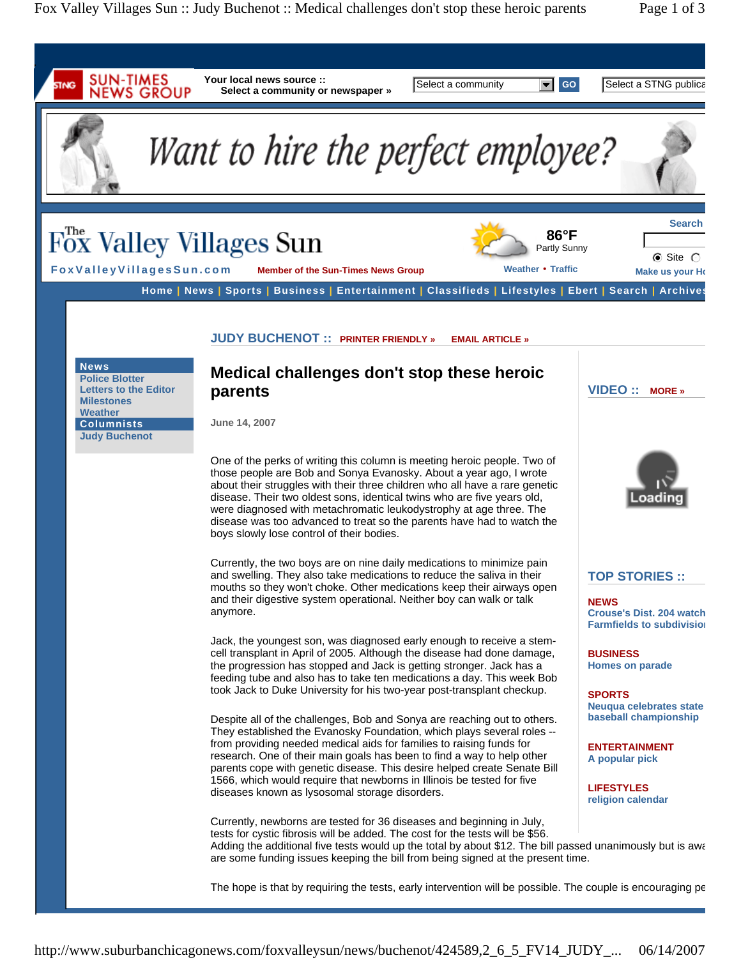